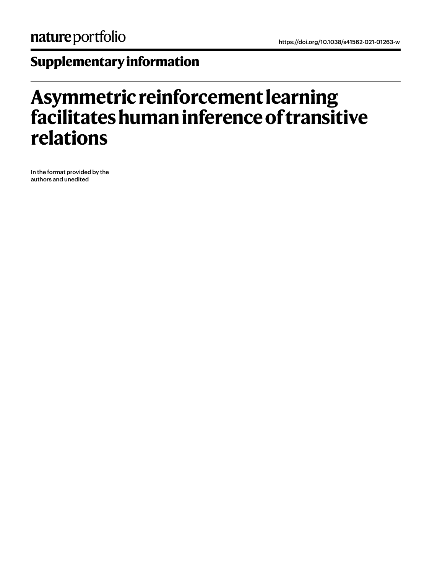# **Supplementary information**

# **Asymmetric reinforcement learning facilitates human inference of transitive relations**

In the format provided by the authors and unedited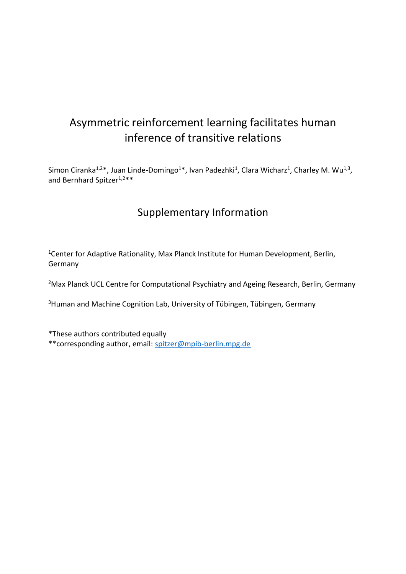## Asymmetric reinforcement learning facilitates human inference of transitive relations

Simon Ciranka<sup>1,2\*</sup>, Juan Linde-Domingo<sup>1\*</sup>, Ivan Padezhki<sup>1</sup>, Clara Wicharz<sup>1</sup>, Charley M. Wu<sup>1,3</sup>, and Bernhard Spitzer<sup>1,2\*\*</sup>

### Supplementary Information

<sup>1</sup>Center for Adaptive Rationality, Max Planck Institute for Human Development, Berlin, Germany

<sup>2</sup>Max Planck UCL Centre for Computational Psychiatry and Ageing Research, Berlin, Germany

<sup>3</sup>Human and Machine Cognition Lab, University of Tübingen, Tübingen, Germany

\*These authors contributed equally \*\*corresponding author, email: [spitzer@mpib-berlin.mpg.de](mailto:spitzer@mpib-berlin.mpg.de)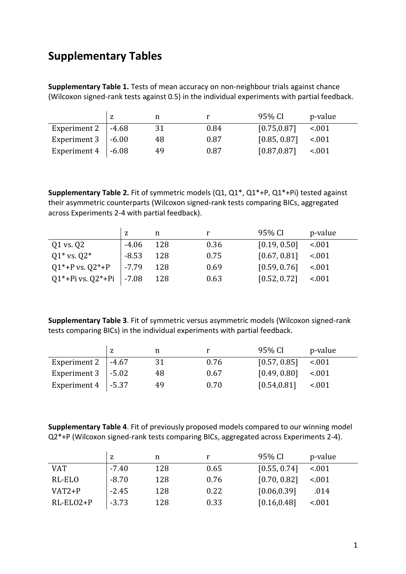### **Supplementary Tables**

**Supplementary Table 1.** Tests of mean accuracy on non-neighbour trials against chance (Wilcoxon signed-rank tests against 0.5) in the individual experiments with partial feedback.

|                           | z |    |      | 95% CI       | p-value |
|---------------------------|---|----|------|--------------|---------|
| Experiment 2   $-4.68$    |   | 31 | 0.84 | [0.75, 0.87] | < 0.01  |
| Experiment $3 \mid -6.00$ |   | 48 | 0.87 | [0.85, 0.87] | $-.001$ |
| Experiment $4 \mid -6.08$ |   | 49 | 0.87 | [0.87, 0.87] | $-.001$ |

**Supplementary Table 2.** Fit of symmetric models (Q1, Q1\*, Q1\*+P, Q1\*+Pi) tested against their asymmetric counterparts (Wilcoxon signed-rank tests comparing BICs, aggregated across Experiments 2-4 with partial feedback).

|                           |         | n   |      | 95% CI       | p-value |
|---------------------------|---------|-----|------|--------------|---------|
| Q1 vs. Q2                 | $-4.06$ | 128 | 0.36 | [0.19, 0.50] | < .001  |
| $Q1*$ vs. $Q2*$           | $-8.53$ | 128 | 0.75 | [0.67, 0.81] | < 0.01  |
| $Q1^*$ +P vs. $Q2^*$ +P   | $-7.79$ | 128 | 0.69 | [0.59, 0.76] | $-.001$ |
| Q1*+Pi vs. Q2*+Pi   -7.08 |         | 128 | 0.63 | [0.52, 0.72] | $-.001$ |

**Supplementary Table 3**. Fit of symmetric versus asymmetric models (Wilcoxon signed-rank tests comparing BICs) in the individual experiments with partial feedback.

|                           | z |    |      | 95% CI       | p-value |
|---------------------------|---|----|------|--------------|---------|
| Experiment 2   $-4.67$    |   | 31 | 0.76 | [0.57, 0.85] | $-.001$ |
| Experiment $3 \mid -5.02$ |   | 48 | 0.67 | [0.49, 0.80] | $-.001$ |
| Experiment $4 \mid -5.37$ |   | 49 | 0.70 | [0.54, 0.81] | $-.001$ |

**Supplementary Table 4**. Fit of previously proposed models compared to our winning model Q2\*+P (Wilcoxon signed-rank tests comparing BICs, aggregated across Experiments 2-4).

|            | z       | n   |      | 95% CI       | p-value |
|------------|---------|-----|------|--------------|---------|
| <b>VAT</b> | $-7.40$ | 128 | 0.65 | [0.55, 0.74] | $-.001$ |
| RL-ELO     | $-8.70$ | 128 | 0.76 | [0.70, 0.82] | < .001  |
| $VAT2+P$   | $-2.45$ | 128 | 0.22 | [0.06, 0.39] | .014    |
| RL-ELO2+P  | $-3.73$ | 128 | 0.33 | [0.16, 0.48] | $-.001$ |